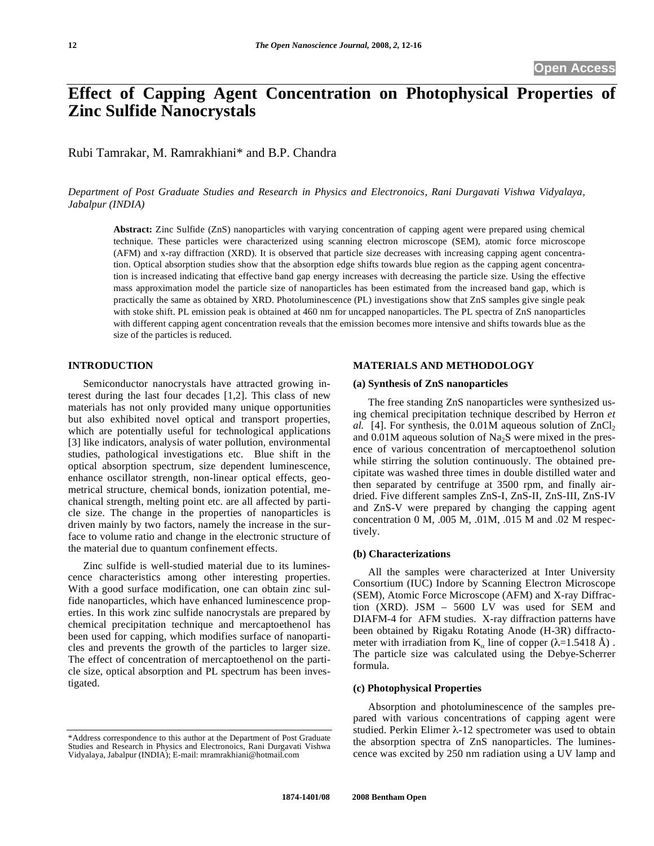# **Effect of Capping Agent Concentration on Photophysical Properties of Zinc Sulfide Nanocrystals**

Rubi Tamrakar, M. Ramrakhiani\* and B.P. Chandra

*Department of Post Graduate Studies and Research in Physics and Electronoics, Rani Durgavati Vishwa Vidyalaya, Jabalpur (INDIA)* 

**Abstract:** Zinc Sulfide (ZnS) nanoparticles with varying concentration of capping agent were prepared using chemical technique. These particles were characterized using scanning electron microscope (SEM), atomic force microscope (AFM) and x-ray diffraction (XRD). It is observed that particle size decreases with increasing capping agent concentration. Optical absorption studies show that the absorption edge shifts towards blue region as the capping agent concentration is increased indicating that effective band gap energy increases with decreasing the particle size. Using the effective mass approximation model the particle size of nanoparticles has been estimated from the increased band gap, which is practically the same as obtained by XRD. Photoluminescence (PL) investigations show that ZnS samples give single peak with stoke shift. PL emission peak is obtained at 460 nm for uncapped nanoparticles. The PL spectra of ZnS nanoparticles with different capping agent concentration reveals that the emission becomes more intensive and shifts towards blue as the size of the particles is reduced.

## **INTRODUCTION**

Semiconductor nanocrystals have attracted growing interest during the last four decades [1,2]. This class of new materials has not only provided many unique opportunities but also exhibited novel optical and transport properties, which are potentially useful for technological applications [3] like indicators, analysis of water pollution, environmental studies, pathological investigations etc. Blue shift in the optical absorption spectrum, size dependent luminescence, enhance oscillator strength, non-linear optical effects, geometrical structure, chemical bonds, ionization potential, mechanical strength, melting point etc. are all affected by particle size. The change in the properties of nanoparticles is driven mainly by two factors, namely the increase in the surface to volume ratio and change in the electronic structure of the material due to quantum confinement effects.

Zinc sulfide is well-studied material due to its luminescence characteristics among other interesting properties. With a good surface modification, one can obtain zinc sulfide nanoparticles, which have enhanced luminescence properties. In this work zinc sulfide nanocrystals are prepared by chemical precipitation technique and mercaptoethenol has been used for capping, which modifies surface of nanoparticles and prevents the growth of the particles to larger size. The effect of concentration of mercaptoethenol on the particle size, optical absorption and PL spectrum has been investigated.

# **MATERIALS AND METHODOLOGY**

#### **(a) Synthesis of ZnS nanoparticles**

The free standing ZnS nanoparticles were synthesized using chemical precipitation technique described by Herron *et al.* [4]. For synthesis, the  $0.01M$  aqueous solution of  $ZnCl<sub>2</sub>$ and  $0.01M$  aqueous solution of Na<sub>2</sub>S were mixed in the presence of various concentration of mercaptoethenol solution while stirring the solution continuously. The obtained precipitate was washed three times in double distilled water and then separated by centrifuge at 3500 rpm, and finally airdried. Five different samples ZnS-I, ZnS-II, ZnS-III, ZnS-IV and ZnS-V were prepared by changing the capping agent concentration 0 M, .005 M, .01M, .015 M and .02 M respectively.

#### **(b) Characterizations**

All the samples were characterized at Inter University Consortium (IUC) Indore by Scanning Electron Microscope (SEM), Atomic Force Microscope (AFM) and X-ray Diffraction (XRD). JSM – 5600 LV was used for SEM and DIAFM-4 for AFM studies. X-ray diffraction patterns have been obtained by Rigaku Rotating Anode (H-3R) diffractometer with irradiation from  $K_{\alpha}$  line of copper ( $\lambda$ =1.5418 Å). The particle size was calculated using the Debye-Scherrer formula.

## **(c) Photophysical Properties**

Absorption and photoluminescence of the samples prepared with various concentrations of capping agent were studied. Perkin Elimer  $\lambda$ -12 spectrometer was used to obtain the absorption spectra of ZnS nanoparticles. The luminescence was excited by 250 nm radiation using a UV lamp and

<sup>\*</sup>Address correspondence to this author at the Department of Post Graduate Studies and Research in Physics and Electronoics, Rani Durgavati Vishwa Vidyalaya, Jabalpur (INDIA); E-mail: mramrakhiani@hotmail.com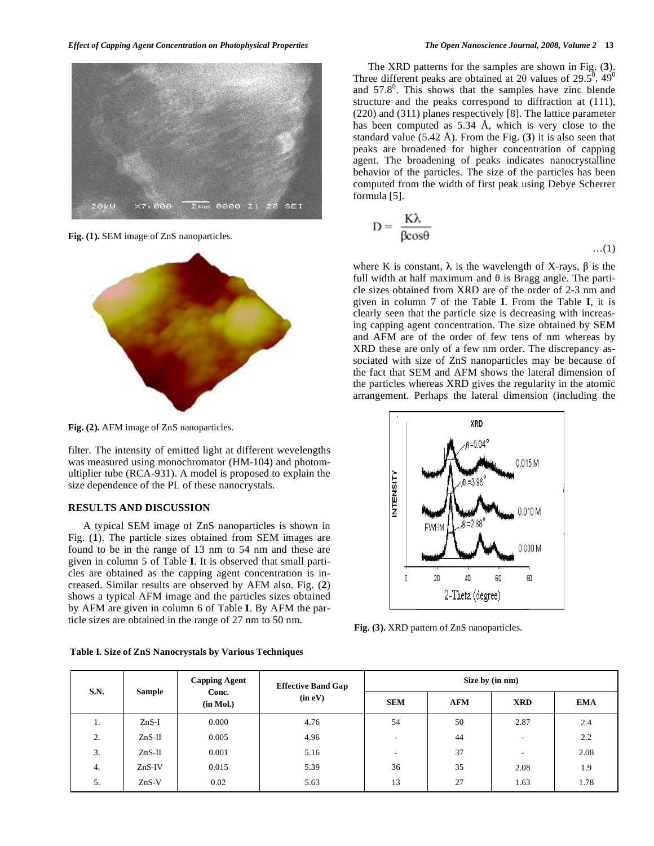

**Fig. (1).** SEM image of ZnS nanoparticles.



**Fig. (2).** AFM image of ZnS nanoparticles.

filter. The intensity of emitted light at different wevelengths was measured using monochromator (HM-104) and photomultiplier tube (RCA-931). A model is proposed to explain the size dependence of the PL of these nanocrystals.

## **RESULTS AND DISCUSSION**

A typical SEM image of ZnS nanoparticles is shown in Fig. (**1**). The particle sizes obtained from SEM images are found to be in the range of 13 nm to 54 nm and these are given in column 5 of Table **I**. It is observed that small particles are obtained as the capping agent concentration is increased. Similar results are observed by AFM also. Fig. (**2**) shows a typical AFM image and the particles sizes obtained by AFM are given in column 6 of Table **I**. By AFM the particle sizes are obtained in the range of 27 nm to 50 nm.

**Table I. Size of ZnS Nanocrystals by Various Techniques** 

The XRD patterns for the samples are shown in Fig. (**3**). Three different peaks are obtained at 20 values of 29.5<sup>0</sup>, 49<sup>0</sup> and  $57.8^{\circ}$ . This shows that the samples have zinc blende structure and the peaks correspond to diffraction at (111), (220) and (311) planes respectively [8]. The lattice parameter has been computed as 5.34 Å, which is very close to the standard value (5.42 Å). From the Fig. (**3**) it is also seen that peaks are broadened for higher concentration of capping agent. The broadening of peaks indicates nanocrystalline behavior of the particles. The size of the particles has been computed from the width of first peak using Debye Scherrer formula [5].

$$
D = \frac{K\lambda}{\beta cos\theta} \qquad \qquad \dots (1)
$$

where K is constant,  $\lambda$  is the wavelength of X-rays,  $\beta$  is the full width at half maximum and  $\theta$  is Bragg angle. The particle sizes obtained from XRD are of the order of 2-3 nm and given in column 7 of the Table **I**. From the Table **I**, it is clearly seen that the particle size is decreasing with increasing capping agent concentration. The size obtained by SEM and AFM are of the order of few tens of nm whereas by XRD these are only of a few nm order. The discrepancy associated with size of ZnS nanoparticles may be because of the fact that SEM and AFM shows the lateral dimension of the particles whereas XRD gives the regularity in the atomic arrangement. Perhaps the lateral dimension (including the



**Fig. (3).** XRD pattern of ZnS nanoparticles.

| <b>S.N.</b> | <b>Sample</b> | <b>Capping Agent</b><br>Conc.<br>(in Mol.) | <b>Effective Band Gap</b><br>(in eV) | Size by (in nm)          |            |                          |            |
|-------------|---------------|--------------------------------------------|--------------------------------------|--------------------------|------------|--------------------------|------------|
|             |               |                                            |                                      | <b>SEM</b>               | <b>AFM</b> | <b>XRD</b>               | <b>EMA</b> |
| 1.          | $ZnS-I$       | 0.000                                      | 4.76                                 | 54                       | 50         | 2.87                     | 2.4        |
| 2.          | $ZnS-II$      | 0.005                                      | 4.96                                 | $\overline{\phantom{a}}$ | 44         | $\overline{\phantom{a}}$ | 2.2        |
| 3.          | $ZnS-II$      | 0.001                                      | 5.16                                 | $\overline{\phantom{a}}$ | 37         | $\overline{\phantom{a}}$ | 2.08       |
| 4.          | $ZnS-IV$      | 0.015                                      | 5.39                                 | 36                       | 35         | 2.08                     | 1.9        |
| 5.          | $ZnS-V$       | 0.02                                       | 5.63                                 | 13                       | 27         | 1.63                     | 1.78       |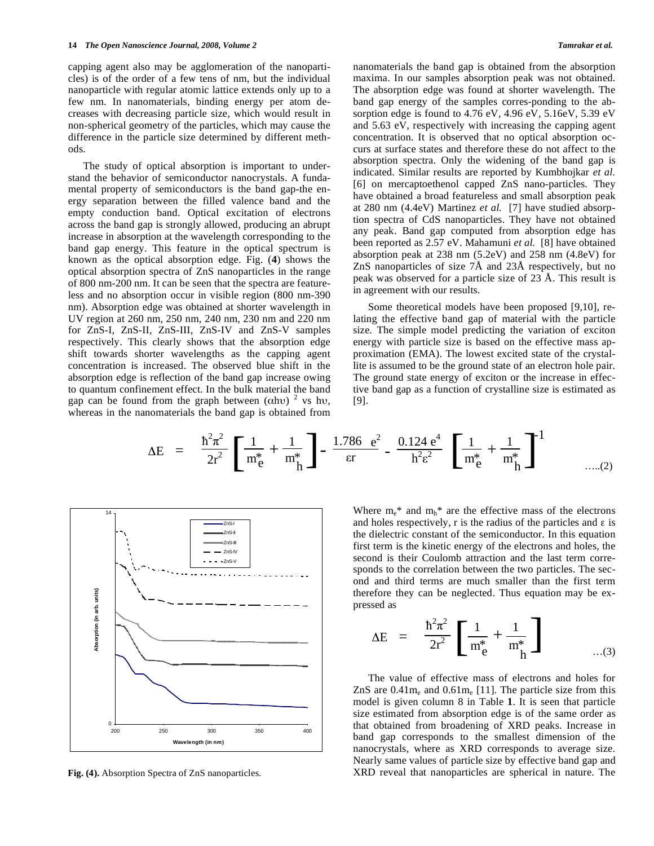capping agent also may be agglomeration of the nanoparticles) is of the order of a few tens of nm, but the individual nanoparticle with regular atomic lattice extends only up to a few nm. In nanomaterials, binding energy per atom decreases with decreasing particle size, which would result in non-spherical geometry of the particles, which may cause the difference in the particle size determined by different methods.

The study of optical absorption is important to understand the behavior of semiconductor nanocrystals. A fundamental property of semiconductors is the band gap-the energy separation between the filled valence band and the empty conduction band. Optical excitation of electrons across the band gap is strongly allowed, producing an abrupt increase in absorption at the wavelength corresponding to the band gap energy. This feature in the optical spectrum is known as the optical absorption edge. Fig. (**4**) shows the optical absorption spectra of ZnS nanoparticles in the range of 800 nm-200 nm. It can be seen that the spectra are featureless and no absorption occur in visible region (800 nm-390 nm). Absorption edge was obtained at shorter wavelength in UV region at 260 nm, 250 nm, 240 nm, 230 nm and 220 nm for ZnS-I, ZnS-II, ZnS-III, ZnS-IV and ZnS-V samples respectively. This clearly shows that the absorption edge shift towards shorter wavelengths as the capping agent concentration is increased. The observed blue shift in the absorption edge is reflection of the band gap increase owing to quantum confinement effect. In the bulk material the band gap can be found from the graph between ( $\alpha$ hv) <sup>2</sup> vs hv, whereas in the nanomaterials the band gap is obtained from

nanomaterials the band gap is obtained from the absorption maxima. In our samples absorption peak was not obtained. The absorption edge was found at shorter wavelength. The band gap energy of the samples corres-ponding to the absorption edge is found to 4.76 eV, 4.96 eV, 5.16eV, 5.39 eV and 5.63 eV, respectively with increasing the capping agent concentration. It is observed that no optical absorption occurs at surface states and therefore these do not affect to the absorption spectra. Only the widening of the band gap is indicated. Similar results are reported by Kumbhojkar *et al.*  [6] on mercaptoethenol capped ZnS nano-particles. They have obtained a broad featureless and small absorption peak at 280 nm (4.4eV) Martinez *et al.* [7] have studied absorption spectra of CdS nanoparticles. They have not obtained any peak. Band gap computed from absorption edge has been reported as 2.57 eV. Mahamuni *et al.* [8] have obtained absorption peak at 238 nm (5.2eV) and 258 nm (4.8eV) for ZnS nanoparticles of size 7Å and 23Å respectively, but no peak was observed for a particle size of 23 Å. This result is in agreement with our results.

Some theoretical models have been proposed [9,10], relating the effective band gap of material with the particle size. The simple model predicting the variation of exciton energy with particle size is based on the effective mass approximation (EMA). The lowest excited state of the crystallite is assumed to be the ground state of an electron hole pair. The ground state energy of exciton or the increase in effective band gap as a function of crystalline size is estimated as [9].

$$
\Delta E = \frac{\hbar^2 \pi^2}{2r^2} \left[ \frac{1}{m_e^*} + \frac{1}{m_h^*} \right] - \frac{1.786 e^2}{\epsilon r} - \frac{0.124 e^4}{h^2 \epsilon^2} \left[ \frac{1}{m_e^*} + \frac{1}{m_h^*} \right]^{-1} \quad \text{....(2)}
$$



**Fig. (4).** Absorption Spectra of ZnS nanoparticles.

Where  $m_e^*$  and  $m_h^*$  are the effective mass of the electrons and holes respectively, r is the radius of the particles and  $\varepsilon$  is the dielectric constant of the semiconductor. In this equation first term is the kinetic energy of the electrons and holes, the second is their Coulomb attraction and the last term corresponds to the correlation between the two particles. The second and third terms are much smaller than the first term therefore they can be neglected. Thus equation may be expressed as

$$
\Delta E = \frac{\hbar^2 \pi^2}{2r^2} \left[ \frac{1}{m_e^*} + \frac{1}{m_h^*} \right] \quad ...(3)
$$

The value of effective mass of electrons and holes for  $ZnS$  are  $0.41m_e$  and  $0.61m_e$  [11]. The particle size from this model is given column 8 in Table **1**. It is seen that particle size estimated from absorption edge is of the same order as that obtained from broadening of XRD peaks. Increase in band gap corresponds to the smallest dimension of the nanocrystals, where as XRD corresponds to average size. Nearly same values of particle size by effective band gap and XRD reveal that nanoparticles are spherical in nature. The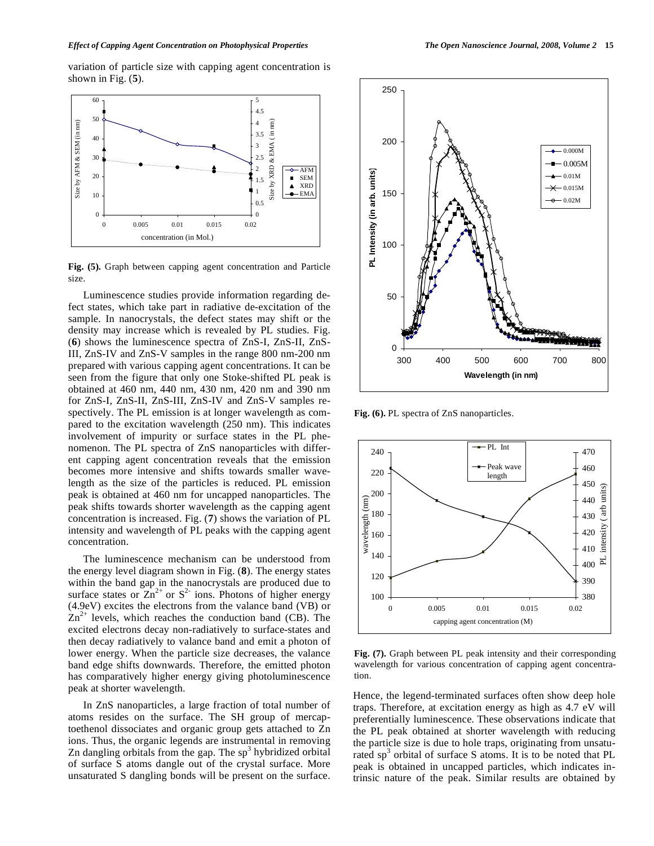variation of particle size with capping agent concentration is shown in Fig. (**5**).



**Fig. (5).** Graph between capping agent concentration and Particle size.

Luminescence studies provide information regarding defect states, which take part in radiative de-excitation of the sample. In nanocrystals, the defect states may shift or the density may increase which is revealed by PL studies. Fig. (**6**) shows the luminescence spectra of ZnS-I, ZnS-II, ZnS-III, ZnS-IV and ZnS-V samples in the range 800 nm-200 nm prepared with various capping agent concentrations. It can be seen from the figure that only one Stoke-shifted PL peak is obtained at 460 nm, 440 nm, 430 nm, 420 nm and 390 nm for ZnS-I, ZnS-II, ZnS-III, ZnS-IV and ZnS-V samples respectively. The PL emission is at longer wavelength as compared to the excitation wavelength (250 nm). This indicates involvement of impurity or surface states in the PL phenomenon. The PL spectra of ZnS nanoparticles with different capping agent concentration reveals that the emission becomes more intensive and shifts towards smaller wavelength as the size of the particles is reduced. PL emission peak is obtained at 460 nm for uncapped nanoparticles. The peak shifts towards shorter wavelength as the capping agent concentration is increased. Fig. (**7**) shows the variation of PL intensity and wavelength of PL peaks with the capping agent concentration.

The luminescence mechanism can be understood from the energy level diagram shown in Fig. (**8**). The energy states within the band gap in the nanocrystals are produced due to surface states or  $\overline{Zn}^{2+}$  or  $S^{2-}$  ions. Photons of higher energy (4.9eV) excites the electrons from the valance band (VB) or  $\text{Zn}^{2+}$  levels, which reaches the conduction band (CB). The excited electrons decay non-radiatively to surface-states and then decay radiatively to valance band and emit a photon of lower energy. When the particle size decreases, the valance band edge shifts downwards. Therefore, the emitted photon has comparatively higher energy giving photoluminescence peak at shorter wavelength.

In ZnS nanoparticles, a large fraction of total number of atoms resides on the surface. The SH group of mercaptoethenol dissociates and organic group gets attached to Zn ions. Thus, the organic legends are instrumental in removing Zn dangling orbitals from the gap. The  $sp<sup>3</sup>$  hybridized orbital of surface S atoms dangle out of the crystal surface. More unsaturated S dangling bonds will be present on the surface.



**Fig. (6).** PL spectra of ZnS nanoparticles.



**Fig. (7).** Graph between PL peak intensity and their corresponding wavelength for various concentration of capping agent concentration.

Hence, the legend-terminated surfaces often show deep hole traps. Therefore, at excitation energy as high as 4.7 eV will preferentially luminescence. These observations indicate that the PL peak obtained at shorter wavelength with reducing the particle size is due to hole traps, originating from unsaturated sp<sup>3</sup> orbital of surface S atoms. It is to be noted that PL peak is obtained in uncapped particles, which indicates intrinsic nature of the peak. Similar results are obtained by